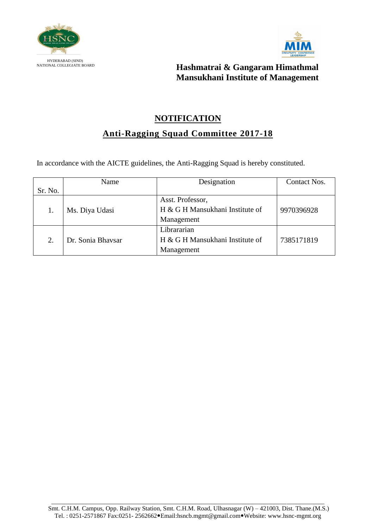



# **NOTIFICATION Anti-Ragging Squad Committee 2017-18**

|         | Name              | Designation                     | Contact Nos. |
|---------|-------------------|---------------------------------|--------------|
| Sr. No. |                   |                                 |              |
|         |                   | Asst. Professor,                |              |
|         | Ms. Diya Udasi    | H & G H Mansukhani Institute of | 9970396928   |
|         |                   | Management                      |              |
|         |                   | Librararian                     |              |
|         | Dr. Sonia Bhaysar | H & G H Mansukhani Institute of | 7385171819   |
|         |                   | Management                      |              |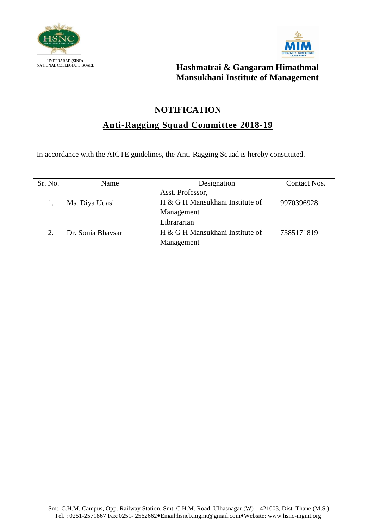



#### **NOTIFICATION**

## **Anti-Ragging Squad Committee 2018-19**

| Sr. No. | Name              | Designation                     | Contact Nos. |
|---------|-------------------|---------------------------------|--------------|
|         |                   | Asst. Professor,                |              |
|         | Ms. Diya Udasi    | H & G H Mansukhani Institute of | 9970396928   |
|         |                   | Management                      |              |
|         |                   | Librararian                     |              |
|         | Dr. Sonia Bhaysar | H & G H Mansukhani Institute of | 7385171819   |
|         |                   | Management                      |              |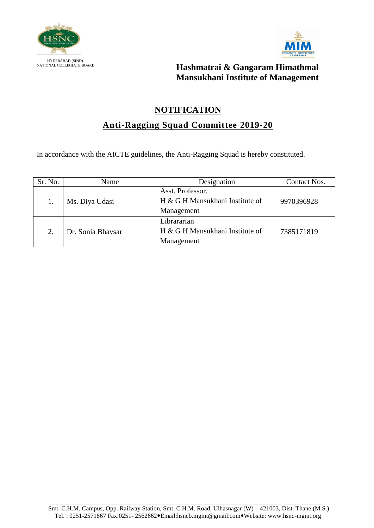



#### **NOTIFICATION**

### **Anti-Ragging Squad Committee 2019-20**

| Sr. No. | Name              | Designation                     | Contact Nos. |
|---------|-------------------|---------------------------------|--------------|
|         | Ms. Diya Udasi    | Asst. Professor,                |              |
|         |                   | H & G H Mansukhani Institute of | 9970396928   |
|         |                   | Management                      |              |
| 2.      |                   | Librararian                     |              |
|         | Dr. Sonia Bhaysar | H & G H Mansukhani Institute of | 7385171819   |
|         |                   | Management                      |              |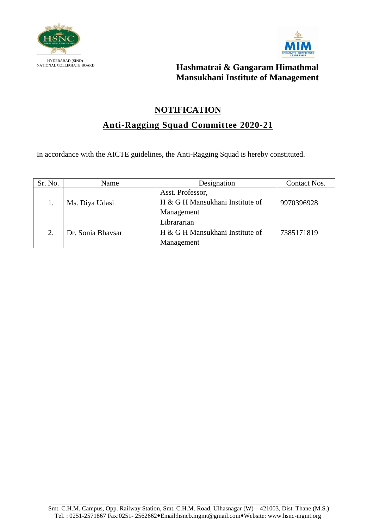



#### **NOTIFICATION**

## **Anti-Ragging Squad Committee 2020-21**

| Sr. No. | Name              | Designation                     | Contact Nos. |
|---------|-------------------|---------------------------------|--------------|
|         |                   | Asst. Professor,                |              |
|         | Ms. Diya Udasi    | H & G H Mansukhani Institute of | 9970396928   |
|         |                   | Management                      |              |
|         |                   | Librararian                     |              |
|         | Dr. Sonia Bhaysar | H & G H Mansukhani Institute of | 7385171819   |
|         |                   | Management                      |              |